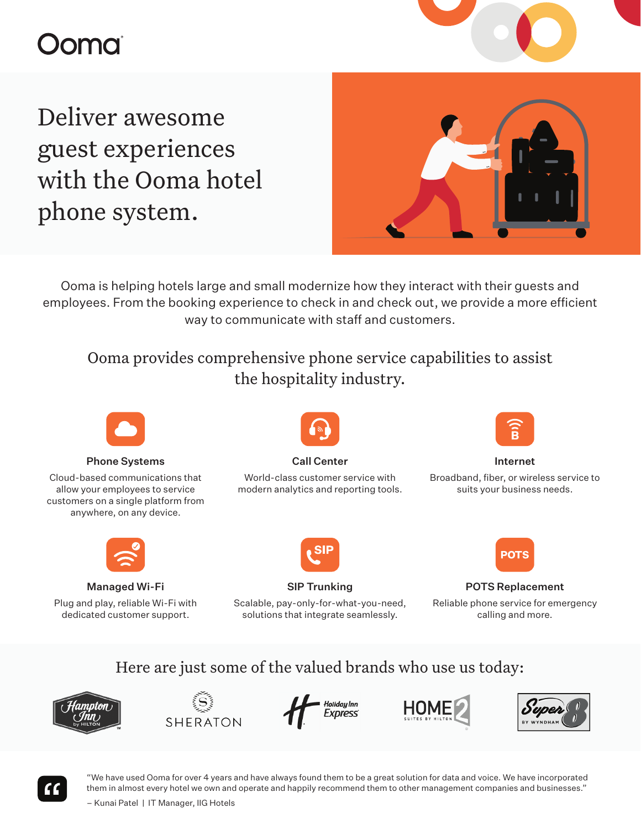# oma

Deliver awesome guest experiences with the Ooma hotel phone system.



Ooma is helping hotels large and small modernize how they interact with their guests and employees. From the booking experience to check in and check out, we provide a more efficient way to communicate with staff and customers.

Ooma provides comprehensive phone service capabilities to assist the hospitality industry.



Phone Systems

Cloud-based communications that allow your employees to service customers on a single platform from anywhere, on any device.



#### Call Center

World-class customer service with modern analytics and reporting tools.



Internet

Broadband, fiber, or wireless service to suits your business needs.



Managed Wi-Fi

Plug and play, reliable Wi-Fi with dedicated customer support.



SIP Trunking

Scalable, pay-only-for-what-you-need, solutions that integrate seamlessly.



POTS Replacement

Reliable phone service for emergency calling and more.

## Here are just some of the valued brands who use us today:













"We have used Ooma for over 4 years and have always found them to be a great solution for data and voice. We have incorporated them in almost every hotel we own and operate and happily recommend them to other management companies and businesses."